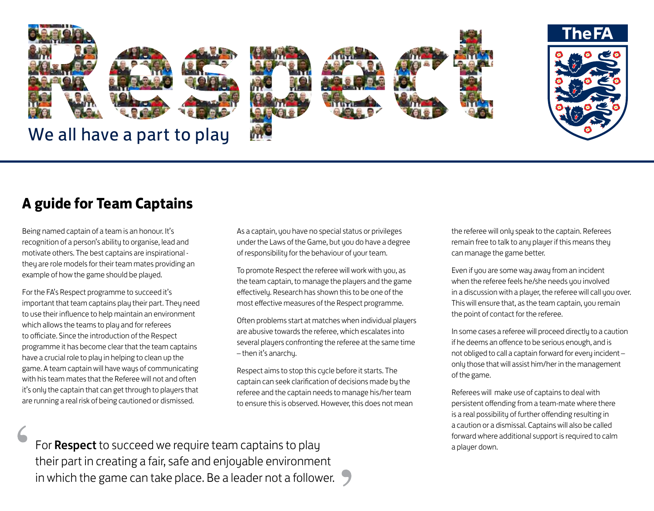

# **A guide for Team Captains**

Being named captain of a team is an honour. It's recognition of a person's ability to organise, lead and motivate others. The best captains are inspirational they are role models for their team mates providing an example of how the game should be played.

For the FA's Respect programme to succeed it's important that team captains play their part. They need to use their influence to help maintain an environment which allows the teams to play and for referees to officiate. Since the introduction of the Respect programme it has become clear that the team captains have a crucial role to play in helping to clean up the game. A team captain will have ways of communicating with his team mates that the Referee will not and often it's only the captain that can get through to players that are running a real risk of being cautioned or dismissed.

As a captain, you have no special status or privileges under the Laws of the Game, but you do have a degree of responsibility for the behaviour of your team.

To promote Respect the referee will work with you, as the team captain, to manage the players and the game effectively. Research has shown this to be one of the most effective measures of the Respect programme.

Often problems start at matches when individual players are abusive towards the referee, which escalates into several players confronting the referee at the same time – then it's anarchy.

Respect aims to stop this cycle before it starts. The captain can seek clarification of decisions made by the referee and the captain needs to manage his/her team to ensure this is observed. However, this does not mean the referee will only speak to the captain. Referees remain free to talk to any player if this means they can manage the game better.

Even if you are some way away from an incident when the referee feels he/she needs you involved in a discussion with a player, the referee will call you over. This will ensure that, as the team captain, you remain the point of contact for the referee.

In some cases a referee will proceed directly to a caution if he deems an offence to be serious enough, and is not obliged to call a captain forward for every incident – only those that will assist him/her in the management of the game.

Referees will make use of captains to deal with persistent offending from a team-mate where there is a real possibility of further offending resulting in a caution or a dismissal. Captains will also be called forward where additional support is required to calm a player down.

For **Respect** to succeed we require team captains to play their part in creating a fair, safe and enjoyable environment in which the game can take place. Be a leader not a follower.